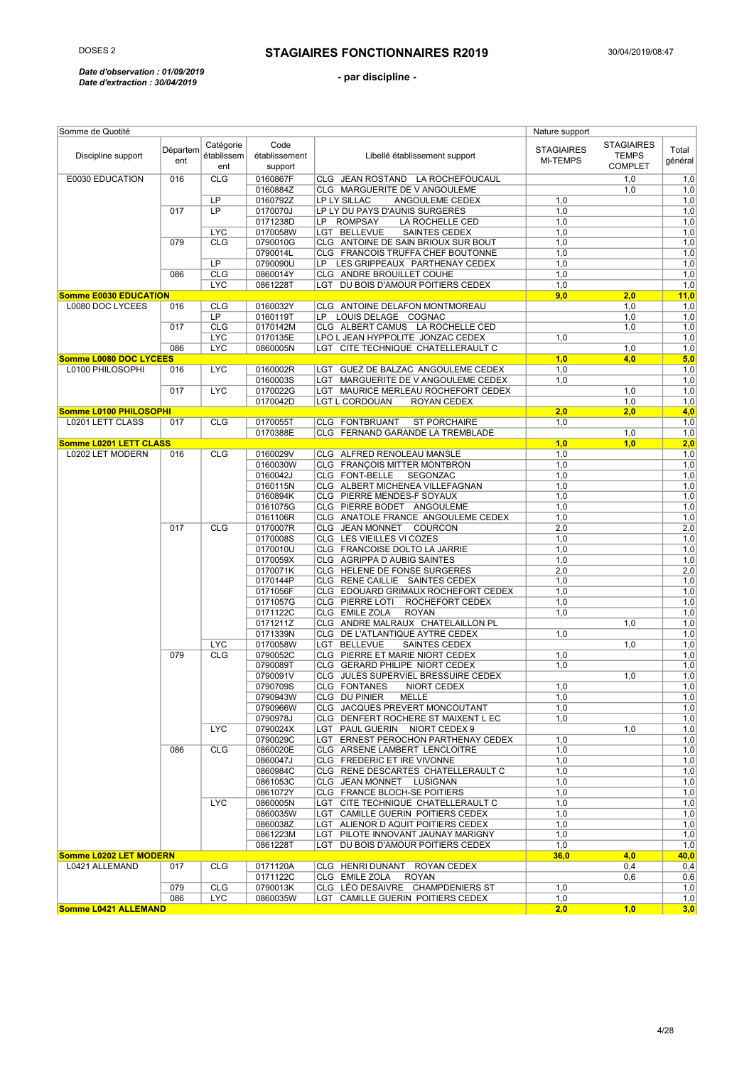#### *Date d'observation : 01/09/2019 Date d'extraction : 30/04/2019*

| Somme de Quotité             |                 |                                |                                  |                                       | Nature support                       |                                                     |                  |
|------------------------------|-----------------|--------------------------------|----------------------------------|---------------------------------------|--------------------------------------|-----------------------------------------------------|------------------|
| Discipline support           | Départem<br>ent | Catégorie<br>établissem<br>ent | Code<br>établissement<br>support | Libellé établissement support         | <b>STAGIAIRES</b><br><b>MI-TEMPS</b> | <b>STAGIAIRES</b><br><b>TEMPS</b><br><b>COMPLET</b> | Total<br>général |
| E0030 EDUCATION              | 016             | CLG                            | 0160867F                         | CLG JEAN ROSTAND LA ROCHEFOUCAUL      |                                      | 1,0                                                 | 1,0              |
|                              |                 |                                | 0160884Z                         | CLG MARGUERITE DE V ANGOULEME         |                                      | 1,0                                                 | 1,0              |
|                              |                 | LP                             | 0160792Z                         | LP LY SILLAC<br>ANGOULEME CEDEX       | 1,0                                  |                                                     | 1,0              |
|                              | 017             | LP                             | 0170070J                         | LP LY DU PAYS D'AUNIS SURGERES        | 1,0                                  |                                                     | 1,0              |
|                              |                 |                                | 0171238D                         | LP ROMPSAY<br>LA ROCHELLE CED         | 1,0                                  |                                                     | 1,0              |
|                              |                 | <b>LYC</b>                     | 0170058W                         | LGT BELLEVUE<br>SAINTES CEDEX         | 1,0                                  |                                                     | 1,0              |
|                              | 079             | <b>CLG</b>                     | 0790010G                         | CLG ANTOINE DE SAIN BRIOUX SUR BOUT   | 1,0                                  |                                                     | 1,0              |
|                              |                 |                                | 0790014L                         | CLG FRANCOIS TRUFFA CHEF BOUTONNE     | 1,0                                  |                                                     | 1,0              |
|                              |                 | LP                             | 0790090U                         | LP LES GRIPPEAUX PARTHENAY CEDEX      | 1,0                                  |                                                     | 1,0              |
|                              | 086             | CLG                            | 0860014Y                         | CLG ANDRE BROUILLET COUHE             | 1,0                                  |                                                     | 1,0              |
|                              |                 | <b>LYC</b>                     | 0861228T                         | LGT DU BOIS D'AMOUR POITIERS CEDEX    | 1,0                                  |                                                     | 1,0              |
| <b>Somme E0030 EDUCATION</b> |                 |                                |                                  |                                       | 9,0                                  | 2,0                                                 | 11,0             |
| L0080 DOC LYCEES             | 016             | <b>CLG</b>                     | 0160032Y                         | CLG ANTOINE DELAFON MONTMOREAU        |                                      | 1,0                                                 | 1,0              |
|                              |                 | LP                             | 0160119T                         | LP LOUIS DELAGE COGNAC                |                                      | 1,0                                                 | 1,0              |
|                              | 017             | <b>CLG</b>                     | 0170142M                         | CLG ALBERT CAMUS LA ROCHELLE CED      |                                      | 1,0                                                 | 1,0              |
|                              |                 | <b>LYC</b>                     | 0170135E                         | LPO L JEAN HYPPOLITE JONZAC CEDEX     | 1,0                                  |                                                     | 1,0              |
|                              | 086             | <b>LYC</b>                     | 0860005N                         | LGT CITE TECHNIQUE CHATELLERAULT C    |                                      | 1,0                                                 | 1,0              |
| Somme L0080 DOC LYCEES       |                 |                                |                                  |                                       | 1,0                                  | 4,0                                                 | 5,0              |
| L0100 PHILOSOPHI             | 016             | <b>LYC</b>                     | 0160002R                         | LGT GUEZ DE BALZAC ANGOULEME CEDEX    | 1,0                                  |                                                     | 1,0              |
|                              |                 |                                | 0160003S                         | LGT MARGUERITE DE V ANGOULEME CEDEX   | 1,0                                  |                                                     | 1,0              |
|                              | 017             | <b>LYC</b>                     | 0170022G                         | LGT MAURICE MERLEAU ROCHEFORT CEDEX   |                                      | 1,0                                                 | 1,0              |
|                              |                 |                                | 0170042D                         | LGT L CORDOUAN<br>ROYAN CEDEX         |                                      | 1,0                                                 | 1,0              |
|                              |                 |                                |                                  |                                       |                                      |                                                     |                  |
| Somme L0100 PHILOSOPHI       |                 |                                |                                  |                                       | 2,0                                  | 2,0                                                 | 4,0              |
| <b>L0201 LETT CLASS</b>      | 017             | <b>CLG</b>                     | 0170055T                         | CLG FONTBRUANT<br><b>ST PORCHAIRE</b> | 1,0                                  |                                                     | 1,0              |
|                              |                 |                                | 0170388E                         | CLG FERNAND GARANDE LA TREMBLADE      |                                      | 1,0                                                 | 1,0              |
| Somme L0201 LETT CLASS       |                 |                                |                                  |                                       | 1,0                                  | 1,0                                                 | 2,0              |
| L0202 LET MODERN             | 016             | <b>CLG</b>                     | 0160029V                         | CLG ALFRED RENOLEAU MANSLE            | 1,0                                  |                                                     | 1,0              |
|                              |                 |                                | 0160030W                         | CLG FRANCOIS MITTER MONTBRON          | 1,0                                  |                                                     | 1,0              |
|                              |                 |                                | 0160042J                         | CLG FONT-BELLE<br>SEGONZAC            | 1,0                                  |                                                     | 1,0              |
|                              |                 |                                | 0160115N                         | CLG ALBERT MICHENEA VILLEFAGNAN       | 1,0                                  |                                                     | 1,0              |
|                              |                 |                                | 0160894K                         | CLG PIERRE MENDES-F SOYAUX            | 1,0                                  |                                                     | 1,0              |
|                              |                 |                                | 0161075G                         | CLG PIERRE BODET ANGOULEME            | 1,0                                  |                                                     | 1,0              |
|                              |                 |                                | 0161106R                         | CLG ANATOLE FRANCE ANGOULEME CEDEX    | 1,0                                  |                                                     | 1,0              |
|                              | 017             | <b>CLG</b>                     | 0170007R                         | CLG JEAN MONNET COURCON               | 2,0                                  |                                                     | 2,0              |
|                              |                 |                                | 0170008S                         | CLG LES VIEILLES VI COZES             | 1,0                                  |                                                     | 1,0              |
|                              |                 |                                | 0170010U                         | CLG FRANCOISE DOLTO LA JARRIE         | 1,0                                  |                                                     | 1,0              |
|                              |                 |                                | 0170059X                         | CLG AGRIPPA D AUBIG SAINTES           | 1,0                                  |                                                     | 1,0              |
|                              |                 |                                | 0170071K                         | CLG HELENE DE FONSE SURGERES          | 2,0                                  |                                                     | 2,0              |
|                              |                 |                                | 0170144P                         | CLG RENE CAILLIE SAINTES CEDEX        | 1,0                                  |                                                     | 1,0              |
|                              |                 |                                | 0171056F                         | CLG EDOUARD GRIMAUX ROCHEFORT CEDEX   | 1,0                                  |                                                     | 1,0              |
|                              |                 |                                | 0171057G                         | CLG PIERRE LOTI<br>ROCHEFORT CEDEX    | 1,0                                  |                                                     | 1,0              |
|                              |                 |                                | 0171122C                         | CLG EMILE ZOLA<br><b>ROYAN</b>        | 1,0                                  |                                                     | 1,0              |
|                              |                 | <b>LYC</b>                     | 0171211Z                         | CLG ANDRE MALRAUX CHATELAILLON PL     |                                      | 1,0                                                 | 1,0              |
|                              |                 |                                | 0171339N                         | CLG DE L'ATLANTIQUE AYTRE CEDEX       | 1,0                                  |                                                     | 1,0              |
|                              |                 |                                | 0170058W                         | LGT BELLEVUE<br>SAINTES CEDEX         |                                      | 1,0                                                 | 1,0              |
|                              | 079             |                                | 0790052C                         |                                       |                                      |                                                     |                  |
|                              |                 | <b>CLG</b><br><b>LYC</b>       |                                  | CLG PIERRE ET MARIE NIORT CEDEX       | 1,0                                  |                                                     | 1,0              |
|                              |                 |                                | 0790089T                         | CLG GERARD PHILIPE NIORT CEDEX        | 1,0                                  |                                                     | 1,0              |
|                              |                 |                                | 0790091V                         | CLG JULES SUPERVIEL BRESSUIRE CEDEX   |                                      | 1,0                                                 | 1,0              |
|                              |                 |                                | 0790709S                         | NIORT CEDEX<br><b>CLG FONTANES</b>    | 1,0                                  |                                                     | 1,0              |
|                              |                 |                                | 0790943W                         | CLG DU PINIER MELLE                   | 1,0                                  |                                                     | 1,0              |
|                              |                 |                                | 0790966W                         | CLG JACQUES PREVERT MONCOUTANT        | 1,0                                  |                                                     | 1,0              |
|                              |                 |                                | 0790978J                         | CLG DENFERT ROCHERE ST MAIXENT L EC   | 1.0                                  |                                                     | 1,0              |
|                              |                 |                                | 0790024X                         | LGT PAUL GUERIN NIORT CEDEX 9         |                                      | 1,0                                                 | 1,0              |
|                              |                 |                                | 0790029C                         | LGT ERNEST PEROCHON PARTHENAY CEDEX   | 1,0                                  |                                                     | 1,0              |
|                              | 086             | <b>CLG</b>                     | 0860020E                         | CLG ARSENE LAMBERT LENCLOITRE         | 1,0                                  |                                                     | 1,0              |
|                              |                 | <b>LYC</b>                     | 0860047J                         | CLG FREDERIC ET IRE VIVONNE           | 1,0                                  |                                                     | 1,0              |
|                              |                 |                                | 0860984C                         | CLG RENE DESCARTES CHATELLERAULT C    | 1,0                                  |                                                     | 1,0              |
|                              |                 |                                | 0861053C                         | CLG JEAN MONNET LUSIGNAN              | 1,0                                  |                                                     | 1,0              |
|                              |                 |                                | 0861072Y                         | CLG FRANCE BLOCH-SE POITIERS          | 1,0                                  |                                                     | 1,0              |
|                              |                 |                                | 0860005N                         | LGT CITE TECHNIQUE CHATELLERAULT C    | 1,0                                  |                                                     | 1,0              |
|                              |                 |                                | 0860035W                         | LGT CAMILLE GUERIN POITIERS CEDEX     | 1,0                                  |                                                     | 1,0              |
|                              |                 |                                | 0860038Z                         | LGT ALIENOR D AQUIT POITIERS CEDEX    | 1,0                                  |                                                     | 1,0              |
|                              |                 |                                | 0861223M                         | LGT PILOTE INNOVANT JAUNAY MARIGNY    | 1,0                                  |                                                     | 1,0              |
|                              |                 |                                | 0861228T                         | LGT DU BOIS D'AMOUR POITIERS CEDEX    | 1,0                                  |                                                     | 1,0              |
| Somme L0202 LET MODERN       |                 |                                |                                  |                                       | 36,0                                 | 4,0                                                 | 40,0             |
| L0421 ALLEMAND               | 017             | <b>CLG</b>                     | 0171120A                         | CLG HENRI DUNANT ROYAN CEDEX          |                                      | 0,4                                                 | 0,4              |
|                              |                 |                                | 0171122C                         | CLG EMILE ZOLA ROYAN                  |                                      | 0,6                                                 |                  |
|                              |                 |                                |                                  |                                       |                                      |                                                     | 0,6              |
|                              | 079             | <b>CLG</b>                     | 0790013K                         | CLG LÉO DESAIVRE CHAMPDENIERS ST      | 1,0                                  |                                                     | 1,0              |
|                              | 086             | <b>LYC</b>                     | 0860035W                         | LGT CAMILLE GUERIN POITIERS CEDEX     | 1,0                                  |                                                     | 1,0              |
| Somme L0421 ALLEMAND         |                 |                                |                                  |                                       | 2,0                                  | 1,0                                                 | 3,0              |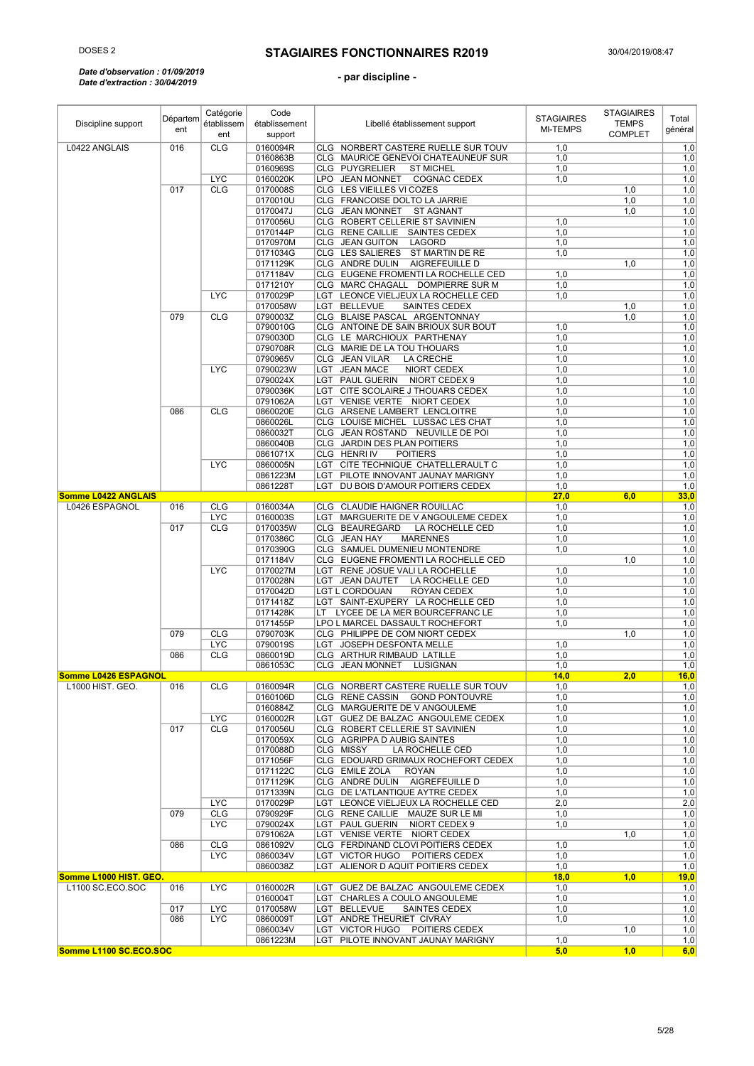#### *Date d'observation : 01/09/2019 Date d'extraction : 30/04/2019*

| Discipline support                         | Départem<br>ent | Catégorie<br>établissem  | Code<br>établissement | Libellé établissement support                                         | <b>STAGIAIRES</b><br><b>MI-TEMPS</b> | <b>STAGIAIRES</b><br><b>TEMPS</b> | Total<br>général |
|--------------------------------------------|-----------------|--------------------------|-----------------------|-----------------------------------------------------------------------|--------------------------------------|-----------------------------------|------------------|
|                                            |                 | ent                      | support               |                                                                       |                                      | <b>COMPLET</b>                    |                  |
| L0422 ANGLAIS                              | 016             | <b>CLG</b>               | 0160094R              | CLG NORBERT CASTERE RUELLE SUR TOUV                                   | 1,0                                  |                                   | 1,0              |
|                                            |                 |                          | 0160863B              | CLG MAURICE GENEVOI CHATEAUNEUF SUR                                   | 1,0                                  |                                   | 1,0              |
|                                            |                 | <b>LYC</b>               | 0160969S<br>0160020K  | CLG PUYGRELIER<br><b>ST MICHEL</b><br>LPO JEAN MONNET<br>COGNAC CEDEX | 1,0<br>1,0                           |                                   | 1,0<br>1,0       |
|                                            | 017             | <b>CLG</b>               | 0170008S              | CLG LES VIEILLES VI COZES                                             |                                      | 1,0                               | 1,0              |
|                                            |                 |                          | 0170010U              | CLG FRANCOISE DOLTO LA JARRIE                                         |                                      | 1,0                               | 1,0              |
|                                            |                 |                          | 0170047J              | CLG JEAN MONNET ST AGNANT                                             |                                      | 1,0                               | 1,0              |
|                                            |                 |                          | 0170056U              | CLG ROBERT CELLERIE ST SAVINIEN                                       | 1,0                                  |                                   | 1,0              |
|                                            |                 |                          | 0170144P              | CLG RENE CAILLIE SAINTES CEDEX                                        | 1,0                                  |                                   | 1,0              |
|                                            |                 |                          | 0170970M              | CLG JEAN GUITON<br>LAGORD                                             | 1,0                                  |                                   | 1,0              |
|                                            |                 |                          | 0171034G              | CLG LES SALIERES ST MARTIN DE RE                                      | 1,0                                  |                                   | 1,0              |
|                                            |                 |                          | 0171129K              | CLG ANDRE DULIN AIGREFEUILLE D                                        |                                      | 1,0                               | 1,0              |
|                                            |                 |                          | 0171184V              | CLG EUGENE FROMENTI LA ROCHELLE CED                                   | 1,0                                  |                                   | 1,0              |
|                                            |                 |                          | 0171210Y              | CLG MARC CHAGALL DOMPIERRE SUR M                                      | 1,0                                  |                                   | 1,0              |
|                                            |                 | <b>LYC</b>               | 0170029P<br>0170058W  | LGT LEONCE VIELJEUX LA ROCHELLE CED<br>LGT BELLEVUE<br>SAINTES CEDEX  | 1,0                                  | 1,0                               | 1,0<br>1,0       |
|                                            | 079             | <b>CLG</b>               | 0790003Z              | CLG BLAISE PASCAL ARGENTONNAY                                         |                                      | 1,0                               | 1,0              |
|                                            |                 |                          | 0790010G              | CLG ANTOINE DE SAIN BRIOUX SUR BOUT                                   | 1,0                                  |                                   | 1,0              |
|                                            |                 |                          | 0790030D              | CLG LE MARCHIOUX PARTHENAY                                            | 1,0                                  |                                   | 1,0              |
|                                            |                 |                          | 0790708R              | CLG MARIE DE LA TOU THOUARS                                           | 1,0                                  |                                   | 1,0              |
|                                            |                 |                          | 0790965V              | CLG JEAN VILAR<br>LA CRECHE                                           | 1,0                                  |                                   | 1,0              |
|                                            |                 | <b>LYC</b>               | 0790023W              | LGT JEAN MACE<br>NIORT CEDEX                                          | 1,0                                  |                                   | 1,0              |
|                                            |                 |                          | 0790024X              | LGT PAUL GUERIN NIORT CEDEX 9                                         | 1,0                                  |                                   | 1,0              |
|                                            |                 |                          | 0790036K              | LGT CITE SCOLAIRE J THOUARS CEDEX                                     | 1,0                                  |                                   | 1,0              |
|                                            |                 |                          | 0791062A              | LGT VENISE VERTE NIORT CEDEX                                          | 1,0                                  |                                   | 1,0              |
|                                            | 086             | <b>CLG</b>               | 0860020E              | CLG ARSENE LAMBERT LENCLOITRE                                         | 1,0                                  |                                   | 1,0              |
|                                            |                 |                          | 0860026L              | CLG LOUISE MICHEL LUSSAC LES CHAT                                     | 1,0                                  |                                   | 1,0              |
|                                            |                 |                          | 0860032T              | CLG JEAN ROSTAND NEUVILLE DE POI<br>CLG JARDIN DES PLAN POITIERS      | 1,0                                  |                                   | 1,0              |
|                                            |                 |                          | 0860040B<br>0861071X  | CLG HENRIN<br><b>POITIERS</b>                                         | 1,0<br>1,0                           |                                   | 1,0<br>1,0       |
|                                            |                 | <b>LYC</b>               | 0860005N              | LGT CITE TECHNIQUE CHATELLERAULT C                                    | 1,0                                  |                                   | 1,0              |
|                                            |                 |                          | 0861223M              | LGT PILOTE INNOVANT JAUNAY MARIGNY                                    | 1,0                                  |                                   | 1,0              |
|                                            |                 |                          | 0861228T              | DU BOIS D'AMOUR POITIERS CEDEX<br>LGT                                 | 1,0                                  |                                   | 1,0              |
| <b>Somme L0422 ANGLAIS</b>                 |                 |                          |                       |                                                                       | 27,0                                 | 6,0                               | 33,0             |
| L0426 ESPAGNOL                             | 016             | <b>CLG</b>               | 0160034A              | CLG CLAUDIE HAIGNER ROUILLAC                                          | 1,0                                  |                                   | 1,0              |
|                                            |                 | <b>LYC</b>               | 0160003S              | LGT MARGUERITE DE V ANGOULEME CEDEX                                   | 1,0                                  |                                   | 1,0              |
|                                            | 017             | <b>CLG</b>               | 0170035W<br>0170386C  | CLG BEAUREGARD<br>LA ROCHELLE CED<br>CLG JEAN HAY<br><b>MARENNES</b>  | 1,0                                  |                                   | 1,0              |
|                                            |                 |                          | 0170390G              | CLG SAMUEL DUMENIEU MONTENDRE                                         | 1,0<br>1,0                           |                                   | 1,0<br>1,0       |
|                                            |                 |                          | 0171184V              | CLG EUGENE FROMENTI LA ROCHELLE CED                                   |                                      | 1,0                               | 1,0              |
|                                            |                 | <b>LYC</b>               | 0170027M              | LGT RENE JOSUE VALI LA ROCHELLE                                       | 1,0                                  |                                   | 1,0              |
|                                            |                 |                          | 0170028N              | LGT JEAN DAUTET<br>LA ROCHELLE CED                                    | 1,0                                  |                                   | 1,0              |
|                                            |                 |                          | 0170042D              | LGT L CORDOUAN<br>ROYAN CEDEX                                         | 1,0                                  |                                   | 1,0              |
|                                            |                 |                          | 0171418Z              | LGT SAINT-EXUPERY LA ROCHELLE CED                                     | 1,0                                  |                                   | 1,0              |
|                                            |                 |                          | 0171428K              | LT LYCEE DE LA MER BOURCEFRANC LE                                     | 1,0                                  |                                   | 1,0              |
|                                            |                 |                          | 0171455P              | LPO L MARCEL DASSAULT ROCHEFORT                                       | 1,0                                  |                                   | 1,0              |
|                                            | 079             | <b>CLG</b>               | 0790703K              | CLG PHILIPPE DE COM NIORT CEDEX                                       |                                      | 1,0                               | 1,0              |
|                                            | 086             | <b>LYC</b><br><b>CLG</b> | 0790019S<br>0860019D  | LGT JOSEPH DESFONTA MELLE<br>CLG ARTHUR RIMBAUD LATILLE               | 1,0<br>1,0                           |                                   | 1,0<br>1,0       |
|                                            |                 |                          | 0861053C              | CLG JEAN MONNET LUSIGNAN                                              | 1,0                                  |                                   | 1,0              |
| <b>Somme L0426 ESPAGNOL</b>                |                 |                          |                       |                                                                       | 14,0                                 | 2,0                               | <u> 16,0</u>     |
| L1000 HIST. GEO.                           | 016             | <b>CLG</b>               | 0160094R              | CLG NORBERT CASTERE RUELLE SUR TOUV                                   | 1,0                                  |                                   | 1,0              |
|                                            |                 |                          | 0160106D              | CLG RENE CASSIN GOND PONTOUVRE                                        | 1,0                                  |                                   | 1,0              |
|                                            |                 |                          | 0160884Z              | CLG MARGUERITE DE V ANGOULEME                                         | 1,0                                  |                                   | 1,0              |
|                                            |                 | <b>LYC</b>               | 0160002R              | LGT GUEZ DE BALZAC ANGOULEME CEDEX                                    | 1,0                                  |                                   | 1,0              |
|                                            | 017             | <b>CLG</b>               | 0170056U              | CLG ROBERT CELLERIE ST SAVINIEN                                       | 1,0                                  |                                   | 1,0              |
|                                            |                 |                          | 0170059X              | CLG AGRIPPA D AUBIG SAINTES                                           | 1,0                                  |                                   | 1,0              |
|                                            |                 |                          | 0170088D              | CLG MISSY<br>LA ROCHELLE CED                                          | 1,0                                  |                                   | 1,0              |
|                                            |                 |                          | 0171056F<br>0171122C  | CLG EDOUARD GRIMAUX ROCHEFORT CEDEX<br>CLG EMILE ZOLA<br>ROYAN        | 1,0<br>1,0                           |                                   | 1,0              |
|                                            |                 |                          | 0171129K              | CLG ANDRE DULIN AIGREFEUILLE D                                        | 1,0                                  |                                   | 1,0<br>1,0       |
|                                            |                 |                          | 0171339N              | CLG DE L'ATLANTIQUE AYTRE CEDEX                                       | 1,0                                  |                                   | 1,0              |
|                                            |                 | <b>LYC</b>               | 0170029P              | LGT LEONCE VIELJEUX LA ROCHELLE CED                                   | 2,0                                  |                                   | 2,0              |
|                                            | 079             | <b>CLG</b>               | 0790929F              | CLG RENE CAILLIE MAUZE SUR LE MI                                      | 1,0                                  |                                   | 1,0              |
|                                            |                 | <b>LYC</b>               | 0790024X              | LGT PAUL GUERIN NIORT CEDEX 9                                         | 1,0                                  |                                   | 1,0              |
|                                            |                 |                          | 0791062A              | LGT VENISE VERTE NIORT CEDEX                                          |                                      | 1,0                               | 1,0              |
|                                            | 086             | <b>CLG</b>               | 0861092V              | CLG FERDINAND CLOVI POITIERS CEDEX                                    | 1,0                                  |                                   | 1,0              |
|                                            |                 | <b>LYC</b>               | 0860034V              | LGT VICTOR HUGO<br>POITIERS CEDEX                                     | 1,0                                  |                                   | 1,0              |
|                                            |                 |                          | 0860038Z              | LGT ALIENOR D AQUIT POITIERS CEDEX                                    | 1,0                                  |                                   | 1,0              |
| Somme L1000 HIST. GEO.<br>L1100 SC.ECO.SOC | 016             | <b>LYC</b>               | 0160002R              | LGT GUEZ DE BALZAC ANGOULEME CEDEX                                    | 18,0<br>1,0                          | 1,0                               | 19,0<br>1,0      |
|                                            |                 |                          | 0160004T              | LGT CHARLES A COULO ANGOULEME                                         | 1,0                                  |                                   | 1,0              |
|                                            | 017             | <b>LYC</b>               | 0170058W              | LGT BELLEVUE<br>SAINTES CEDEX                                         | 1,0                                  |                                   | 1,0              |
|                                            | 086             | <b>LYC</b>               | 0860009T              | LGT ANDRE THEURIET CIVRAY                                             | 1,0                                  |                                   | 1,0              |
|                                            |                 |                          | 0860034V              | LGT VICTOR HUGO POITIERS CEDEX                                        |                                      | 1,0                               | 1,0              |
|                                            |                 |                          | 0861223M              | LGT PILOTE INNOVANT JAUNAY MARIGNY                                    | 1,0                                  |                                   | 1,0              |
| Somme L1100 SC.ECO.SOC                     |                 |                          |                       |                                                                       | 5,0                                  | 1,0                               | 6,0              |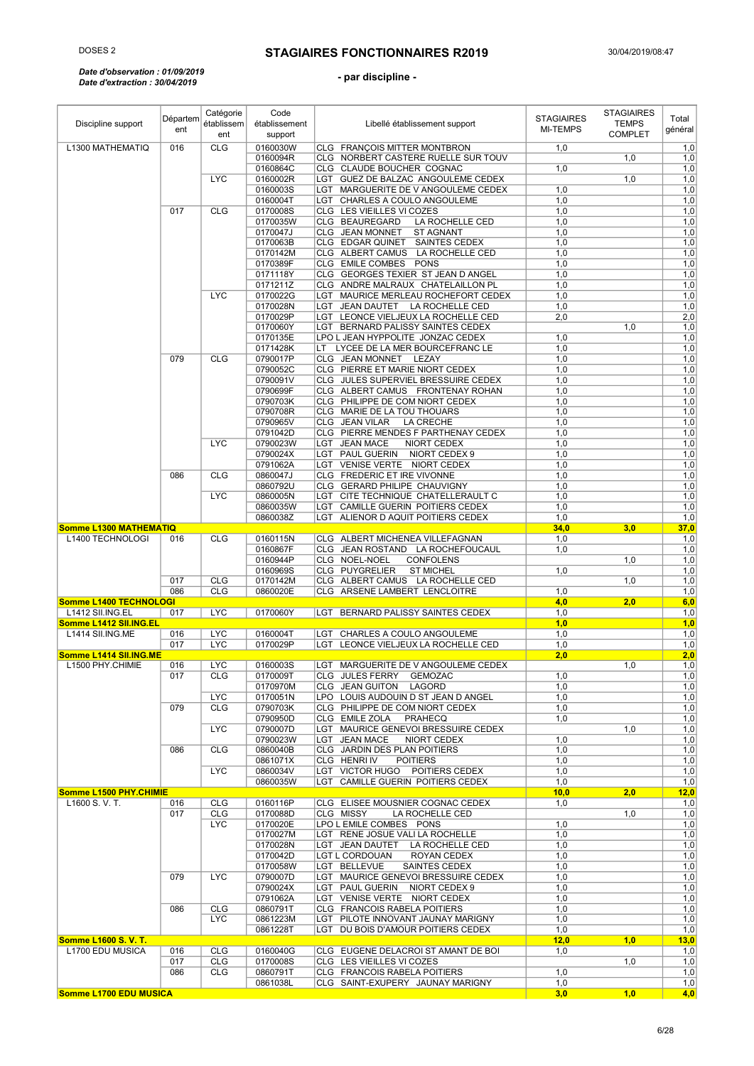#### *Date d'observation : 01/09/2019 Date d'extraction : 30/04/2019*

| Discipline support                         | Départem<br>ent | Catégorie<br>établissem  | Code<br>établissement | Libellé établissement support                                           | <b>STAGIAIRES</b><br><b>MI-TEMPS</b> | <b>STAGIAIRES</b><br><b>TEMPS</b> | Total<br>général |
|--------------------------------------------|-----------------|--------------------------|-----------------------|-------------------------------------------------------------------------|--------------------------------------|-----------------------------------|------------------|
|                                            | 016             | ent<br><b>CLG</b>        | support<br>0160030W   | CLG FRANÇOIS MITTER MONTBRON                                            | 1,0                                  | <b>COMPLET</b>                    |                  |
| L1300 MATHEMATIQ                           |                 |                          | 0160094R              | CLG NORBERT CASTERE RUELLE SUR TOUV                                     |                                      | 1,0                               | 1,0<br>1,0       |
|                                            |                 |                          | 0160864C              | CLG CLAUDE BOUCHER COGNAC                                               | 1,0                                  |                                   | 1,0              |
|                                            |                 | <b>LYC</b>               | 0160002R              | LGT GUEZ DE BALZAC ANGOULEME CEDEX                                      |                                      | 1,0                               | 1,0              |
|                                            |                 |                          | 0160003S              | LGT MARGUERITE DE V ANGOULEME CEDEX                                     | 1,0                                  |                                   | 1,0              |
|                                            | 017             | <b>CLG</b>               | 0160004T<br>0170008S  | LGT CHARLES A COULO ANGOULEME<br>CLG LES VIEILLES VI COZES              | 1,0<br>1,0                           |                                   | 1,0<br>1,0       |
|                                            |                 |                          | 0170035W              | CLG BEAUREGARD<br>LA ROCHELLE CED                                       | 1,0                                  |                                   | 1,0              |
|                                            |                 |                          | 0170047J              | CLG JEAN MONNET<br><b>ST AGNANT</b>                                     | 1,0                                  |                                   | 1,0              |
|                                            |                 |                          | 0170063B              | CLG EDGAR QUINET<br><b>SAINTES CEDEX</b>                                | 1,0                                  |                                   | 1,0              |
|                                            |                 |                          | 0170142M              | CLG ALBERT CAMUS<br>LA ROCHELLE CED                                     | 1,0                                  |                                   | 1,0              |
|                                            |                 |                          | 0170389F<br>0171118Y  | CLG EMILE COMBES<br><b>PONS</b><br>CLG GEORGES TEXIER ST JEAN D ANGEL   | 1,0<br>1,0                           |                                   | 1,0<br>1,0       |
|                                            |                 |                          | 0171211Z              | CLG ANDRE MALRAUX CHATELAILLON PL                                       | 1,0                                  |                                   | 1,0              |
|                                            |                 | <b>LYC</b>               | 0170022G              | LGT MAURICE MERLEAU ROCHEFORT CEDEX                                     | 1,0                                  |                                   | 1,0              |
|                                            |                 |                          | 0170028N              | LGT JEAN DAUTET<br>LA ROCHELLE CED                                      | 1,0                                  |                                   | 1,0              |
|                                            |                 |                          | 0170029P              | LGT LEONCE VIELJEUX LA ROCHELLE CED                                     | 2,0                                  |                                   | $\overline{2,0}$ |
|                                            |                 |                          | 0170060Y<br>0170135E  | LGT BERNARD PALISSY SAINTES CEDEX<br>LPO L JEAN HYPPOLITE JONZAC CEDEX  | 1,0                                  | 1,0                               | 1,0<br>1,0       |
|                                            |                 |                          | 0171428K              | LT LYCEE DE LA MER BOURCEFRANC LE                                       | 1,0                                  |                                   | 1,0              |
|                                            | 079             | <b>CLG</b>               | 0790017P              | CLG JEAN MONNET<br>LEZAY                                                | 1,0                                  |                                   | 1,0              |
|                                            |                 |                          | 0790052C              | CLG PIERRE ET MARIE NIORT CEDEX                                         | 1,0                                  |                                   | 1,0              |
|                                            |                 |                          | 0790091V              | CLG JULES SUPERVIEL BRESSUIRE CEDEX<br>CLG ALBERT CAMUS FRONTENAY ROHAN | 1,0                                  |                                   | 1,0              |
|                                            |                 |                          | 0790699F<br>0790703K  | CLG PHILIPPE DE COM NIORT CEDEX                                         | 1,0<br>1,0                           |                                   | 1,0<br>1,0       |
|                                            |                 |                          | 0790708R              | CLG MARIE DE LA TOU THOUARS                                             | 1,0                                  |                                   | 1,0              |
|                                            |                 |                          | 0790965V              | CLG JEAN VILAR<br>LA CRECHE                                             | 1,0                                  |                                   | 1,0              |
|                                            |                 |                          | 0791042D              | CLG PIERRE MENDES F PARTHENAY CEDEX                                     | 1,0                                  |                                   | 1,0              |
|                                            |                 | <b>LYC</b>               | 0790023W<br>0790024X  | LGT JEAN MACE<br>NIORT CEDEX<br>LGT PAUL GUERIN<br>NIORT CEDEX 9        | 1,0<br>1,0                           |                                   | 1,0              |
|                                            |                 |                          | 0791062A              | LGT VENISE VERTE NIORT CEDEX                                            | 1,0                                  |                                   | 1,0<br>1,0       |
|                                            | 086             | <b>CLG</b>               | 0860047J              | CLG FREDERIC ET IRE VIVONNE                                             | 1,0                                  |                                   | 1,0              |
|                                            |                 |                          | 0860792U              | CLG GERARD PHILIPE CHAUVIGNY                                            | 1,0                                  |                                   | 1,0              |
|                                            |                 | <b>LYC</b>               | 0860005N              | LGT CITE TECHNIQUE CHATELLERAULT C                                      | 1,0                                  |                                   | 1,0              |
|                                            |                 |                          | 0860035W<br>0860038Z  | LGT CAMILLE GUERIN POITIERS CEDEX<br>LGT ALIENOR D AQUIT POITIERS CEDEX | 1,0<br>1,0                           |                                   | 1,0<br>1,0       |
| Somme L1300 MATHEMATIQ                     |                 |                          |                       |                                                                         | 34,0                                 | 3,0                               | 37,0             |
| L1400 TECHNOLOGI                           | 016             | <b>CLG</b>               | 0160115N              | CLG ALBERT MICHENEA VILLEFAGNAN                                         | 1,0                                  |                                   | 1,0              |
|                                            |                 |                          | 0160867F              | CLG JEAN ROSTAND LA ROCHEFOUCAUL                                        | 1,0                                  |                                   | 1,0              |
|                                            |                 |                          | 0160944P              | CLG NOEL-NOEL<br><b>CONFOLENS</b>                                       |                                      | 1,0                               | 1,0              |
|                                            | 017             | <b>CLG</b>               | 0160969S<br>0170142M  | CLG PUYGRELIER<br><b>ST MICHEL</b><br>CLG ALBERT CAMUS LA ROCHELLE CED  | 1,0                                  | 1,0                               | 1,0<br>1,0       |
|                                            | 086             | <b>CLG</b>               | 0860020E              | CLG ARSENE LAMBERT LENCLOITRE                                           | 1,0                                  |                                   | 1,0              |
| Somme L1400 TECHNOLOGI                     |                 |                          |                       |                                                                         | 4,0                                  | 2,0                               | 6,0              |
| L1412 SII.ING.EL<br>Somme L1412 SII.ING.EL | 017             | <b>LYC</b>               | 0170060Y              | LGT BERNARD PALISSY SAINTES CEDEX                                       | 1,0                                  |                                   | 1,0              |
| L1414 SII.ING.ME                           | 016             | <b>LYC</b>               | 0160004T              | LGT CHARLES A COULO ANGOULEME                                           | 1,0<br>1,0                           |                                   | 1,0<br>1,0       |
|                                            | 017             | <b>LYC</b>               | 0170029P              | LGT<br>LEONCE VIELJEUX LA ROCHELLE CED                                  | 1,0                                  |                                   | 1,0              |
| Somme L1414 SII.ING.ME                     |                 |                          |                       |                                                                         | 2,0                                  |                                   | 2,0              |
| L1500 PHY.CHIMIE                           | 016<br>017      | <b>LYC</b>               | 0160003S              | LGT MARGUERITE DE V ANGOULEME CEDEX                                     |                                      | 1,0                               | 1,0              |
|                                            |                 | <b>CLG</b>               | 0170009T<br>0170970M  | CLG JULES FERRY<br><b>GEMOZAC</b><br>CLG JEAN GUITON LAGORD             | 1,0<br>1,0                           |                                   | 1,0<br>1,0       |
|                                            |                 | <b>LYC</b>               | 0170051N              | LPO LOUIS AUDOUIN D ST JEAN D ANGEL                                     | 1,0                                  |                                   | 1,0              |
|                                            | 079             | <b>CLG</b>               | 0790703K              | CLG PHILIPPE DE COM NIORT CEDEX                                         | 1,0                                  |                                   | 1,0              |
|                                            |                 |                          | 0790950D              | CLG EMILE ZOLA<br><b>PRAHECQ</b>                                        | 1,0                                  |                                   | 1,0              |
|                                            |                 | <b>LYC</b>               | 0790007D<br>0790023W  | LGT MAURICE GENEVOI BRESSUIRE CEDEX<br>LGT JEAN MACE<br>NIORT CEDEX     | 1,0                                  | 1,0                               | 1,0<br>1,0       |
|                                            | 086             | <b>CLG</b>               | 0860040B              | CLG JARDIN DES PLAN POITIERS                                            | 1,0                                  |                                   | 1,0              |
|                                            |                 |                          | 0861071X              | CLG HENRI IV<br><b>POITIERS</b>                                         | 1,0                                  |                                   | 1,0              |
|                                            |                 | <b>LYC</b>               | 0860034V              | LGT VICTOR HUGO POITIERS CEDEX                                          | 1,0                                  |                                   | 1,0              |
| Somme L1500 PHY.CHIMIE                     |                 |                          | 0860035W              | LGT CAMILLE GUERIN POITIERS CEDEX                                       | 1,0<br>10,0                          | 2,0                               | 1,0<br>12,0      |
| L1600 S.V.T.                               | 016             | <b>CLG</b>               | 0160116P              | CLG ELISEE MOUSNIER COGNAC CEDEX                                        | 1,0                                  |                                   | 1,0              |
|                                            | 017             | <b>CLG</b>               | 0170088D              | CLG MISSY<br>LA ROCHELLE CED                                            |                                      | 1,0                               | 1,0              |
|                                            |                 | <b>LYC</b>               | 0170020E              | LPO L EMILE COMBES PONS                                                 | 1,0                                  |                                   | 1,0              |
|                                            |                 |                          | 0170027M<br>0170028N  | LGT RENE JOSUE VALI LA ROCHELLE<br>LGT JEAN DAUTET LA ROCHELLE CED      | 1,0<br>1,0                           |                                   | 1,0<br>1,0       |
|                                            |                 |                          | 0170042D              | LGT L CORDOUAN<br>ROYAN CEDEX                                           | 1,0                                  |                                   | 1,0              |
|                                            |                 |                          | 0170058W              | LGT BELLEVUE<br>SAINTES CEDEX                                           | 1,0                                  |                                   | 1,0              |
|                                            | 079             | <b>LYC</b>               | 0790007D              | LGT MAURICE GENEVOI BRESSUIRE CEDEX                                     | 1,0                                  |                                   | 1,0              |
|                                            |                 |                          | 0790024X              | LGT PAUL GUERIN NIORT CEDEX 9<br>LGT VENISE VERTE NIORT CEDEX           | 1,0                                  |                                   | 1,0              |
|                                            | 086             | <b>CLG</b>               | 0791062A<br>0860791T  | CLG FRANCOIS RABELA POITIERS                                            | 1,0<br>1,0                           |                                   | 1,0<br>1,0       |
|                                            |                 | <b>LYC</b>               | 0861223M              | LGT PILOTE INNOVANT JAUNAY MARIGNY                                      | 1,0                                  |                                   | 1,0              |
|                                            |                 |                          | 0861228T              | LGT DU BOIS D'AMOUR POITIERS CEDEX                                      | 1,0                                  |                                   | 1,0              |
| <b>Somme L1600 S. V. T.</b>                |                 |                          |                       |                                                                         | 12,0                                 | 1,0                               | 13,0             |
| L1700 EDU MUSICA                           | 016<br>017      | <b>CLG</b><br><b>CLG</b> | 0160040G<br>0170008S  | CLG EUGENE DELACROI ST AMANT DE BOI<br>CLG LES VIEILLES VI COZES        | 1,0                                  | 1,0                               | 1,0<br>1,0       |
|                                            | 086             | <b>CLG</b>               | 0860791T              | CLG FRANCOIS RABELA POITIERS                                            | 1,0                                  |                                   | 1,0              |
|                                            |                 |                          | 0861038L              | CLG SAINT-EXUPERY JAUNAY MARIGNY                                        | 1,0                                  |                                   | 1,0              |
| Somme L1700 EDU MUSICA                     |                 |                          |                       |                                                                         | 3,0                                  | 1,0                               | 4,0              |